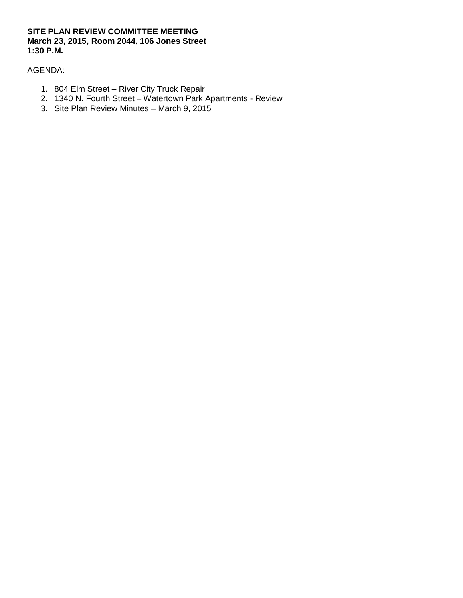## **SITE PLAN REVIEW COMMITTEE MEETING March 23, 2015, Room 2044, 106 Jones Street 1:30 P.M.**

# AGENDA:

- 1. 804 Elm Street River City Truck Repair
- 2. 1340 N. Fourth Street Watertown Park Apartments Review
- 3. Site Plan Review Minutes March 9, 2015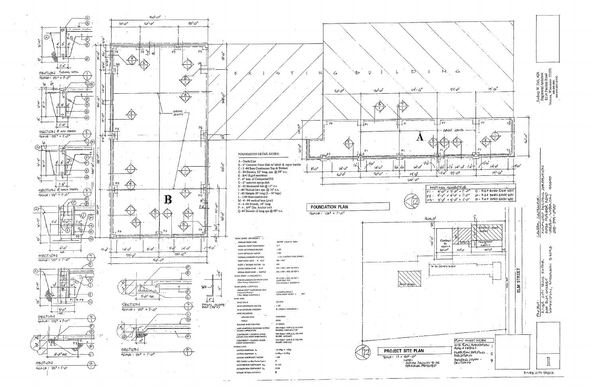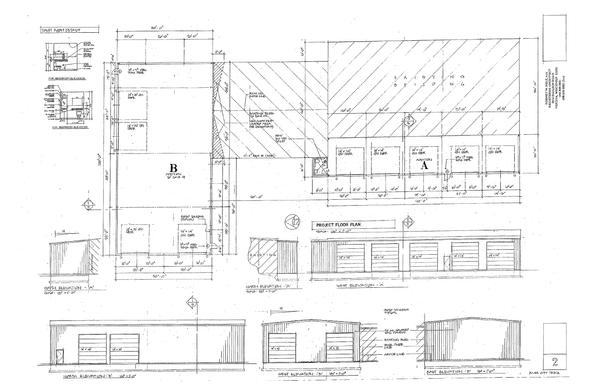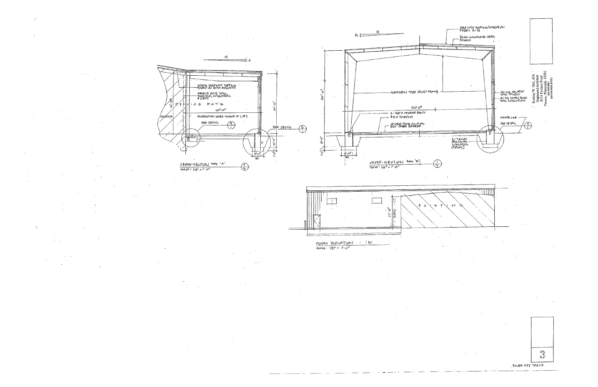$\Lambda$ 







 $1/2$ 

NSAL DIENST BOTTES

 $a$ יים י<sup>ו</sup>ס

MONSTRICTION NOTES SIMILAR TO 1 043

 $\bigoplus$ 

 $\bigodot$ 

<u>sele catalu</u>

 $\bigoplus$ 

RAYOVE EXIST, WALL<br>GHEETING, INSJLATION,<br>8 GIRTS

GE DAYS

**MOE OETAL** 

りん

على أكتلاه**)** 







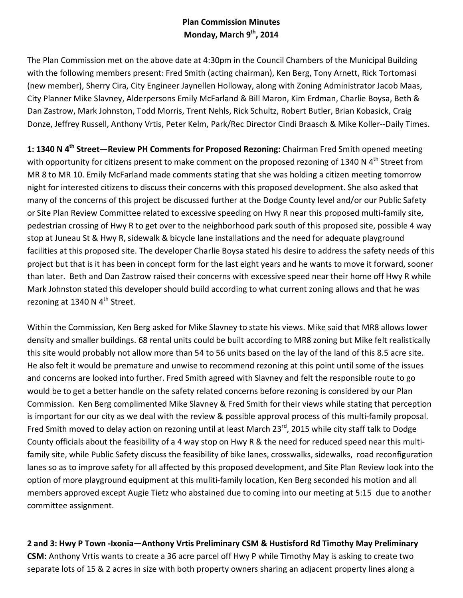# **Plan Commission Minutes Monday, March 9th, 2014**

The Plan Commission met on the above date at 4:30pm in the Council Chambers of the Municipal Building with the following members present: Fred Smith (acting chairman), Ken Berg, Tony Arnett, Rick Tortomasi (new member), Sherry Cira, City Engineer Jaynellen Holloway, along with Zoning Administrator Jacob Maas, City Planner Mike Slavney, Alderpersons Emily McFarland & Bill Maron, Kim Erdman, Charlie Boysa, Beth & Dan Zastrow, Mark Johnston, Todd Morris, Trent Nehls, Rick Schultz, Robert Butler, Brian Kobasick, Craig Donze, Jeffrey Russell, Anthony Vrtis, Peter Kelm, Park/Rec Director Cindi Braasch & Mike Koller--Daily Times.

**1: 1340 N 4th Street—Review PH Comments for Proposed Rezoning:** Chairman Fred Smith opened meeting with opportunity for citizens present to make comment on the proposed rezoning of 1340 N 4<sup>th</sup> Street from MR 8 to MR 10. Emily McFarland made comments stating that she was holding a citizen meeting tomorrow night for interested citizens to discuss their concerns with this proposed development. She also asked that many of the concerns of this project be discussed further at the Dodge County level and/or our Public Safety or Site Plan Review Committee related to excessive speeding on Hwy R near this proposed multi-family site, pedestrian crossing of Hwy R to get over to the neighborhood park south of this proposed site, possible 4 way stop at Juneau St & Hwy R, sidewalk & bicycle lane installations and the need for adequate playground facilities at this proposed site. The developer Charlie Boysa stated his desire to address the safety needs of this project but that is it has been in concept form for the last eight years and he wants to move it forward, sooner than later. Beth and Dan Zastrow raised their concerns with excessive speed near their home off Hwy R while Mark Johnston stated this developer should build according to what current zoning allows and that he was rezoning at 1340 N  $4<sup>th</sup>$  Street.

Within the Commission, Ken Berg asked for Mike Slavney to state his views. Mike said that MR8 allows lower density and smaller buildings. 68 rental units could be built according to MR8 zoning but Mike felt realistically this site would probably not allow more than 54 to 56 units based on the lay of the land of this 8.5 acre site. He also felt it would be premature and unwise to recommend rezoning at this point until some of the issues and concerns are looked into further. Fred Smith agreed with Slavney and felt the responsible route to go would be to get a better handle on the safety related concerns before rezoning is considered by our Plan Commission. Ken Berg complimented Mike Slavney & Fred Smith for their views while stating that perception is important for our city as we deal with the review & possible approval process of this multi-family proposal. Fred Smith moved to delay action on rezoning until at least March 23<sup>rd</sup>, 2015 while city staff talk to Dodge County officials about the feasibility of a 4 way stop on Hwy R & the need for reduced speed near this multifamily site, while Public Safety discuss the feasibility of bike lanes, crosswalks, sidewalks, road reconfiguration lanes so as to improve safety for all affected by this proposed development, and Site Plan Review look into the option of more playground equipment at this muliti-family location, Ken Berg seconded his motion and all members approved except Augie Tietz who abstained due to coming into our meeting at 5:15 due to another committee assignment.

# **2 and 3: Hwy P Town -Ixonia—Anthony Vrtis Preliminary CSM & Hustisford Rd Timothy May Preliminary CSM:** Anthony Vrtis wants to create a 36 acre parcel off Hwy P while Timothy May is asking to create two separate lots of 15 & 2 acres in size with both property owners sharing an adjacent property lines along a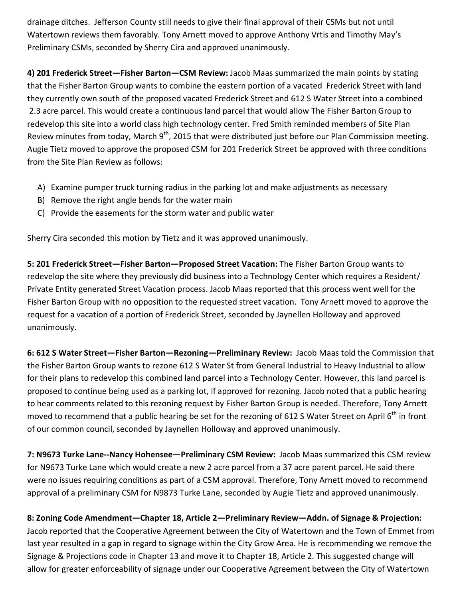drainage ditches. Jefferson County still needs to give their final approval of their CSMs but not until Watertown reviews them favorably. Tony Arnett moved to approve Anthony Vrtis and Timothy May's Preliminary CSMs, seconded by Sherry Cira and approved unanimously.

**4) 201 Frederick Street—Fisher Barton—CSM Review:** Jacob Maas summarized the main points by stating that the Fisher Barton Group wants to combine the eastern portion of a vacated Frederick Street with land they currently own south of the proposed vacated Frederick Street and 612 S Water Street into a combined 2.3 acre parcel. This would create a continuous land parcel that would allow The Fisher Barton Group to redevelop this site into a world class high technology center. Fred Smith reminded members of Site Plan Review minutes from today, March 9<sup>th</sup>, 2015 that were distributed just before our Plan Commission meeting. Augie Tietz moved to approve the proposed CSM for 201 Frederick Street be approved with three conditions from the Site Plan Review as follows:

- A) Examine pumper truck turning radius in the parking lot and make adjustments as necessary
- B) Remove the right angle bends for the water main
- C) Provide the easements for the storm water and public water

Sherry Cira seconded this motion by Tietz and it was approved unanimously.

**5: 201 Frederick Street—Fisher Barton—Proposed Street Vacation:** The Fisher Barton Group wants to redevelop the site where they previously did business into a Technology Center which requires a Resident/ Private Entity generated Street Vacation process. Jacob Maas reported that this process went well for the Fisher Barton Group with no opposition to the requested street vacation. Tony Arnett moved to approve the request for a vacation of a portion of Frederick Street, seconded by Jaynellen Holloway and approved unanimously.

**6: 612 S Water Street—Fisher Barton—Rezoning—Preliminary Review:** Jacob Maas told the Commission that the Fisher Barton Group wants to rezone 612 S Water St from General Industrial to Heavy Industrial to allow for their plans to redevelop this combined land parcel into a Technology Center. However, this land parcel is proposed to continue being used as a parking lot, if approved for rezoning. Jacob noted that a public hearing to hear comments related to this rezoning request by Fisher Barton Group is needed. Therefore, Tony Arnett moved to recommend that a public hearing be set for the rezoning of 612 S Water Street on April 6<sup>th</sup> in front of our common council, seconded by Jaynellen Holloway and approved unanimously.

**7: N9673 Turke Lane--Nancy Hohensee—Preliminary CSM Review:** Jacob Maas summarized this CSM review for N9673 Turke Lane which would create a new 2 acre parcel from a 37 acre parent parcel. He said there were no issues requiring conditions as part of a CSM approval. Therefore, Tony Arnett moved to recommend approval of a preliminary CSM for N9873 Turke Lane, seconded by Augie Tietz and approved unanimously.

**8: Zoning Code Amendment—Chapter 18, Article 2—Preliminary Review—Addn. of Signage & Projection:**  Jacob reported that the Cooperative Agreement between the City of Watertown and the Town of Emmet from last year resulted in a gap in regard to signage within the City Grow Area. He is recommending we remove the Signage & Projections code in Chapter 13 and move it to Chapter 18, Article 2. This suggested change will allow for greater enforceability of signage under our Cooperative Agreement between the City of Watertown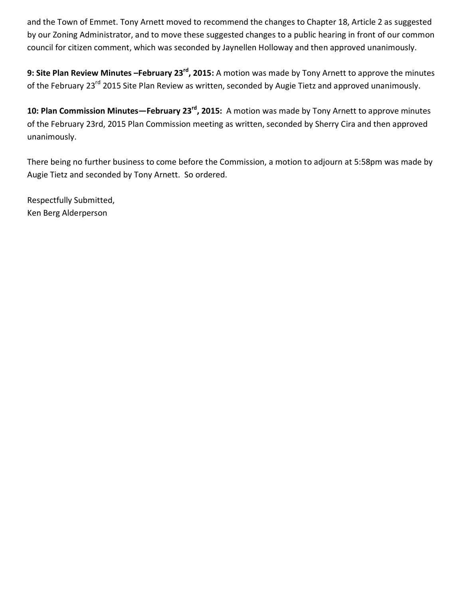and the Town of Emmet. Tony Arnett moved to recommend the changes to Chapter 18, Article 2 as suggested by our Zoning Administrator, and to move these suggested changes to a public hearing in front of our common council for citizen comment, which was seconded by Jaynellen Holloway and then approved unanimously.

**9: Site Plan Review Minutes –February 23rd, 2015:** A motion was made by Tony Arnett to approve the minutes of the February 23<sup>rd</sup> 2015 Site Plan Review as written, seconded by Augie Tietz and approved unanimously.

**10: Plan Commission Minutes—February 23rd, 2015:** A motion was made by Tony Arnett to approve minutes of the February 23rd, 2015 Plan Commission meeting as written, seconded by Sherry Cira and then approved unanimously.

There being no further business to come before the Commission, a motion to adjourn at 5:58pm was made by Augie Tietz and seconded by Tony Arnett. So ordered.

Respectfully Submitted, Ken Berg Alderperson